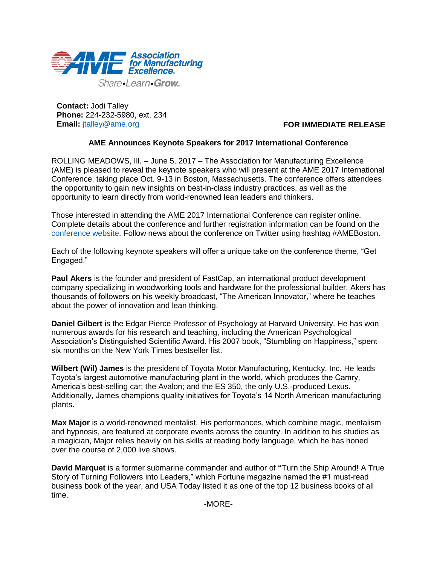

**Contact:** Jodi Talley **Phone:** 224-232-5980, ext. 234 **Email:** [jtalley@ame.org](mailto:jtalley@ame.org)

## **FOR IMMEDIATE RELEASE**

## **AME Announces Keynote Speakers for 2017 International Conference**

ROLLING MEADOWS, Ill. – June 5, 2017 – The Association for Manufacturing Excellence (AME) is pleased to reveal the keynote speakers who will present at the AME 2017 International Conference, taking place Oct. 9-13 in Boston, Massachusetts. The conference offers attendees the opportunity to gain new insights on best-in-class industry practices, as well as the opportunity to learn directly from world-renowned lean leaders and thinkers.

Those interested in attending the AME 2017 International Conference can register online. Complete details about the conference and further registration information can be found on the [conference website.](http://www.ame.org/boston) Follow news about the conference on Twitter using hashtag #AMEBoston.

Each of the following keynote speakers will offer a unique take on the conference theme, "Get Engaged."

**Paul Akers** is the founder and president of FastCap, an international product development company specializing in woodworking tools and hardware for the professional builder. Akers has thousands of followers on his weekly broadcast, "The American Innovator," where he teaches about the power of innovation and lean thinking.

**Daniel Gilbert** is the Edgar Pierce Professor of Psychology at Harvard University. He has won numerous awards for his research and teaching, including the American Psychological Association's Distinguished Scientific Award. His 2007 book, "Stumbling on Happiness," spent six months on the New York Times bestseller list.

**Wilbert (Wil) James** is the president of Toyota Motor Manufacturing, Kentucky, Inc. He leads Toyota's largest automotive manufacturing plant in the world, which produces the Camry, America's best-selling car; the Avalon; and the ES 350, the only U.S.-produced Lexus. Additionally, James champions quality initiatives for Toyota's 14 North American manufacturing plants.

**Max Major** is a world-renowned mentalist. His performances, which combine magic, mentalism and hypnosis, are featured at corporate events across the country. In addition to his studies as a magician, Major relies heavily on his skills at reading body language, which he has honed over the course of 2,000 live shows.

**David Marquet** is a former submarine commander and author of **"**Turn the Ship Around! A True Story of Turning Followers into Leaders," which Fortune magazine named the #1 must-read business book of the year, and USA Today listed it as one of the top 12 business books of all time.

-MORE-